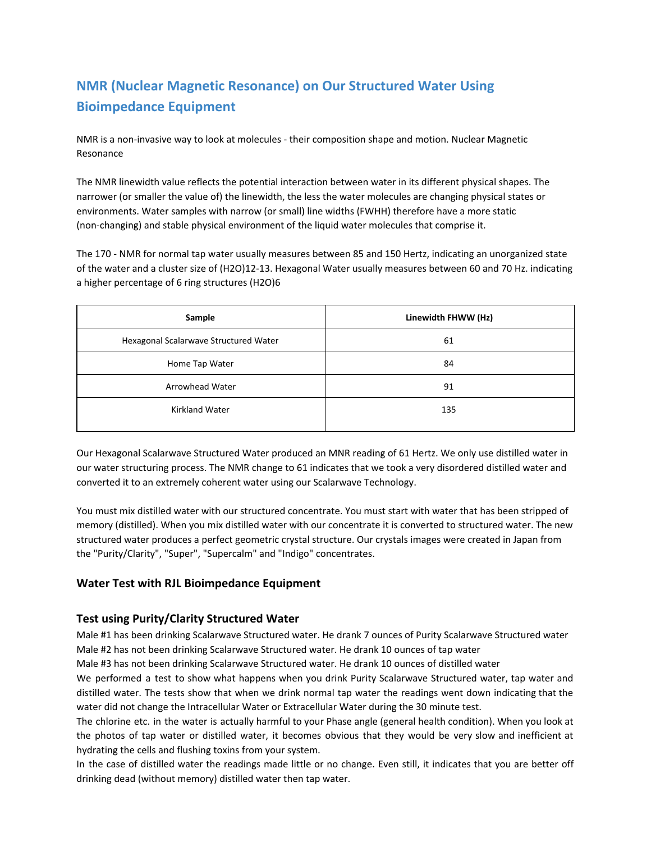# **NMR (Nuclear Magnetic Resonance) on Our Structured Water Using Bioimpedance Equipment**

NMR is a non-invasive way to look at molecules - their composition shape and motion. Nuclear Magnetic Resonance

The NMR linewidth value reflects the potential interaction between water in its different physical shapes. The narrower (or smaller the value of) the linewidth, the less the water molecules are changing physical states or environments. Water samples with narrow (or small) line widths (FWHH) therefore have a more static (non-changing) and stable physical environment of the liquid water molecules that comprise it.

The 170 - NMR for normal tap water usually measures between 85 and 150 Hertz, indicating an unorganized state of the water and a cluster size of (H2O)12-13. Hexagonal Water usually measures between 60 and 70 Hz. indicating a higher percentage of 6 ring structures (H2O)6

| Sample                                | Linewidth FHWW (Hz) |  |  |
|---------------------------------------|---------------------|--|--|
| Hexagonal Scalarwave Structured Water | 61                  |  |  |
| Home Tap Water                        | 84                  |  |  |
| Arrowhead Water                       | 91                  |  |  |
| <b>Kirkland Water</b>                 | 135                 |  |  |

Our Hexagonal Scalarwave Structured Water produced an MNR reading of 61 Hertz. We only use distilled water in our water structuring process. The NMR change to 61 indicates that we took a very disordered distilled water and converted it to an extremely coherent water using our Scalarwave Technology.

You must mix distilled water with our structured concentrate. You must start with water that has been stripped of memory (distilled). When you mix distilled water with our concentrate it is converted to structured water. The new structured water produces a perfect geometric crystal structure. Our crystals images were created in Japan from the "Purity/Clarity", "Super", "Supercalm" and "Indigo" concentrates.

# **Water Test with RJL Bioimpedance Equipment**

# **Test using Purity/Clarity Structured Water**

Male #1 has been drinking Scalarwave Structured water. He drank 7 ounces of Purity Scalarwave Structured water Male #2 has not been drinking Scalarwave Structured water. He drank 10 ounces of tap water

Male #3 has not been drinking Scalarwave Structured water. He drank 10 ounces of distilled water

We performed a test to show what happens when you drink Purity Scalarwave Structured water, tap water and distilled water. The tests show that when we drink normal tap water the readings went down indicating that the water did not change the Intracellular Water or Extracellular Water during the 30 minute test.

The chlorine etc. in the water is actually harmful to your Phase angle (general health condition). When you look at the photos of tap water or distilled water, it becomes obvious that they would be very slow and inefficient at hydrating the cells and flushing toxins from your system.

In the case of distilled water the readings made little or no change. Even still, it indicates that you are better off drinking dead (without memory) distilled water then tap water.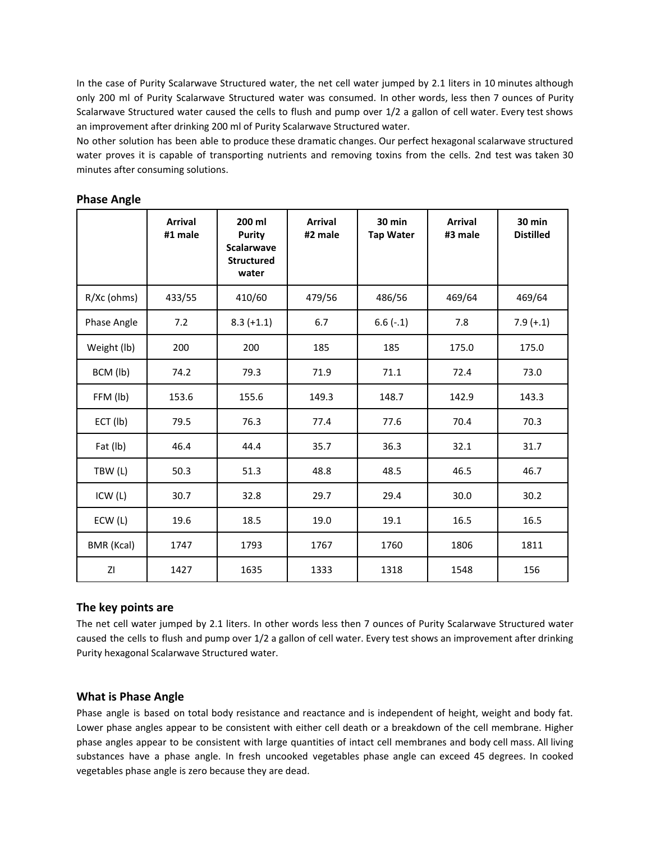In the case of Purity Scalarwave Structured water, the net cell water jumped by 2.1 liters in 10 minutes although only 200 ml of Purity Scalarwave Structured water was consumed. In other words, less then 7 ounces of Purity Scalarwave Structured water caused the cells to flush and pump over 1/2 a gallon of cell water. Every test shows an improvement after drinking 200 ml of Purity Scalarwave Structured water.

No other solution has been able to produce these dramatic changes. Our perfect hexagonal scalarwave structured water proves it is capable of transporting nutrients and removing toxins from the cells. 2nd test was taken 30 minutes after consuming solutions.

|             | <b>Arrival</b><br>#1 male | 200 ml<br><b>Purity</b><br><b>Scalarwave</b><br><b>Structured</b><br>water | <b>Arrival</b><br>#2 male | <b>30 min</b><br><b>Tap Water</b> | <b>Arrival</b><br>#3 male | $30$ min<br><b>Distilled</b> |
|-------------|---------------------------|----------------------------------------------------------------------------|---------------------------|-----------------------------------|---------------------------|------------------------------|
| R/Xc (ohms) | 433/55                    | 410/60                                                                     | 479/56                    | 486/56                            | 469/64                    | 469/64                       |
| Phase Angle | 7.2                       | $8.3 (+1.1)$                                                               | 6.7                       | $6.6(-.1)$                        | 7.8                       | $7.9 (+.1)$                  |
| Weight (lb) | 200                       | 200                                                                        | 185                       | 185                               | 175.0                     | 175.0                        |
| BCM (lb)    | 74.2                      | 79.3                                                                       | 71.9                      | 71.1                              | 72.4                      | 73.0                         |
| FFM (lb)    | 153.6                     | 155.6                                                                      | 149.3                     | 148.7                             | 142.9                     | 143.3                        |
| ECT (lb)    | 79.5                      | 76.3                                                                       | 77.4                      | 77.6                              | 70.4                      | 70.3                         |
| Fat (lb)    | 46.4                      | 44.4                                                                       | 35.7                      | 36.3                              | 32.1                      | 31.7                         |
| TBW (L)     | 50.3                      | 51.3                                                                       | 48.8                      | 48.5                              | 46.5                      | 46.7                         |
| ICW (L)     | 30.7                      | 32.8                                                                       | 29.7                      | 29.4                              | 30.0                      | 30.2                         |
| ECW(L)      | 19.6                      | 18.5                                                                       | 19.0                      | 19.1                              | 16.5                      | 16.5                         |
| BMR (Kcal)  | 1747                      | 1793                                                                       | 1767                      | 1760                              | 1806                      | 1811                         |
| ΖI          | 1427                      | 1635                                                                       | 1333                      | 1318                              | 1548                      | 156                          |

# **Phase Angle**

# **The key points are**

The net cell water jumped by 2.1 liters. In other words less then 7 ounces of Purity Scalarwave Structured water caused the cells to flush and pump over 1/2 a gallon of cell water. Every test shows an improvement after drinking Purity hexagonal Scalarwave Structured water.

# **What is Phase Angle**

Phase angle is based on total body resistance and reactance and is independent of height, weight and body fat. Lower phase angles appear to be consistent with either cell death or a breakdown of the cell membrane. Higher phase angles appear to be consistent with large quantities of intact cell membranes and body cell mass. All living substances have a phase angle. In fresh uncooked vegetables phase angle can exceed 45 degrees. In cooked vegetables phase angle is zero because they are dead.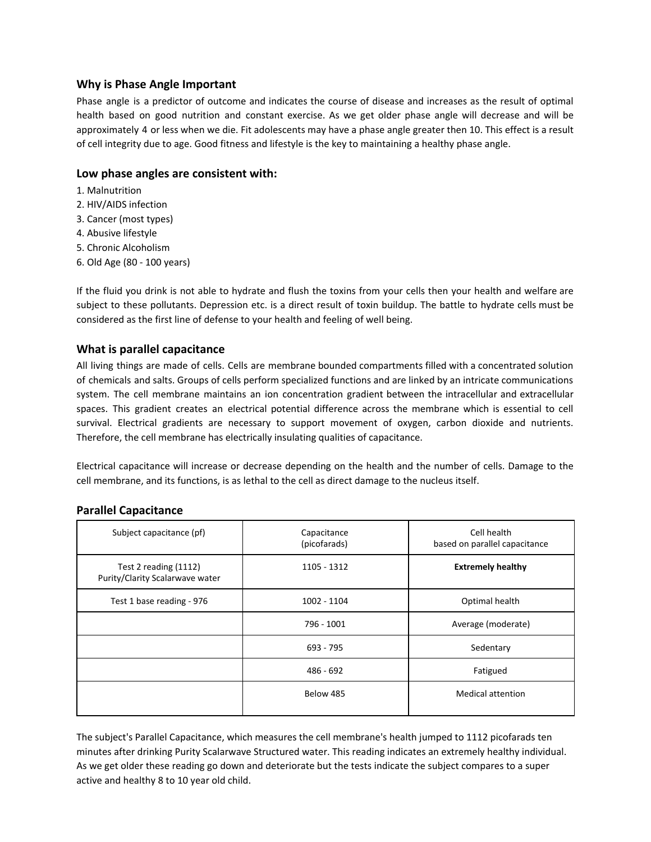#### **Why is Phase Angle Important**

Phase angle is a predictor of outcome and indicates the course of disease and increases as the result of optimal health based on good nutrition and constant exercise. As we get older phase angle will decrease and will be approximately 4 or less when we die. Fit adolescents may have a phase angle greater then 10. This effect is a result of cell integrity due to age. Good fitness and lifestyle is the key to maintaining a healthy phase angle.

#### **Low phase angles are consistent with:**

- 1. Malnutrition
- 2. HIV/AIDS infection
- 3. Cancer (most types)
- 4. Abusive lifestyle
- 5. Chronic Alcoholism
- 6. Old Age (80 100 years)

If the fluid you drink is not able to hydrate and flush the toxins from your cells then your health and welfare are subject to these pollutants. Depression etc. is a direct result of toxin buildup. The battle to hydrate cells must be considered as the first line of defense to your health and feeling of well being.

#### **What is parallel capacitance**

All living things are made of cells. Cells are membrane bounded compartments filled with a concentrated solution of chemicals and salts. Groups of cells perform specialized functions and are linked by an intricate communications system. The cell membrane maintains an ion concentration gradient between the intracellular and extracellular spaces. This gradient creates an electrical potential difference across the membrane which is essential to cell survival. Electrical gradients are necessary to support movement of oxygen, carbon dioxide and nutrients. Therefore, the cell membrane has electrically insulating qualities of capacitance.

Electrical capacitance will increase or decrease depending on the health and the number of cells. Damage to the cell membrane, and its functions, is as lethal to the cell as direct damage to the nucleus itself.

#### **Parallel Capacitance**

| Capacitance<br>(picofarads) | Cell health<br>based on parallel capacitance |  |
|-----------------------------|----------------------------------------------|--|
| 1105 - 1312                 | <b>Extremely healthy</b>                     |  |
| 1002 - 1104                 | Optimal health                               |  |
| 796 - 1001                  | Average (moderate)                           |  |
| 693 - 795                   | Sedentary                                    |  |
| $486 - 692$                 | Fatigued                                     |  |
| Below 485                   | <b>Medical attention</b>                     |  |
|                             |                                              |  |

The subject's Parallel Capacitance, which measures the cell membrane's health jumped to 1112 picofarads ten minutes after drinking Purity Scalarwave Structured water. This reading indicates an extremely healthy individual. As we get older these reading go down and deteriorate but the tests indicate the subject compares to a super active and healthy 8 to 10 year old child.